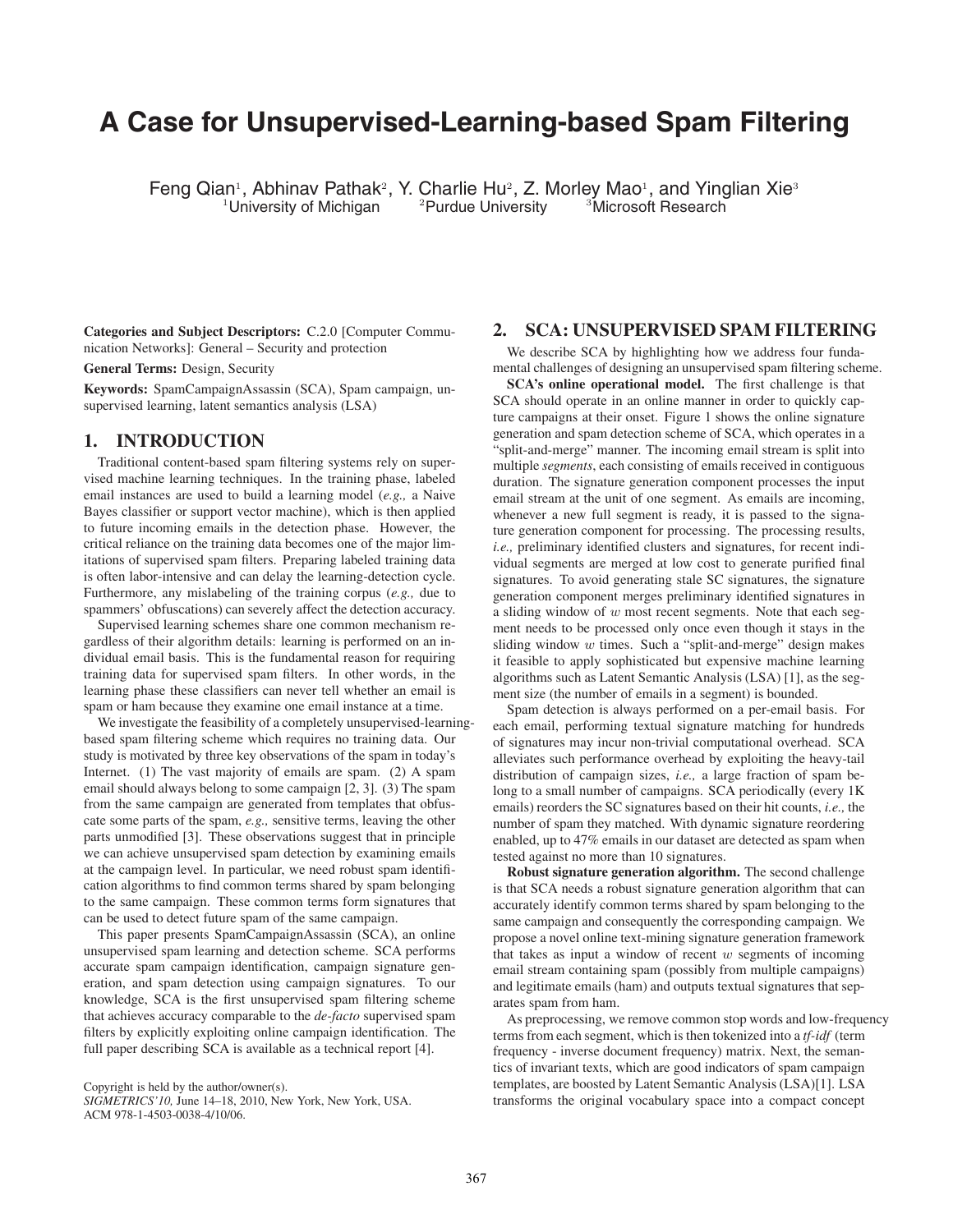# **A Case for Unsupervised-Learning-based Spam Filtering**

Feng Qian<sup>1</sup>, Abhinav Pathak<sup>2</sup>, Y. Charlie Hu<sup>2</sup>, Z. Morley Mao<sup>1</sup>, and Yinglian Xie<sup>3</sup><br><sup>1</sup>University of Michigan <sup>2</sup>Purdue University <sup>3</sup>Microsoft Research  $1$ University of Michigan

**Categories and Subject Descriptors:** C.2.0 [Computer Communication Networks]: General – Security and protection

**General Terms:** Design, Security

**Keywords:** SpamCampaignAssassin (SCA), Spam campaign, unsupervised learning, latent semantics analysis (LSA)

### **1. INTRODUCTION**

Traditional content-based spam filtering systems rely on supervised machine learning techniques. In the training phase, labeled email instances are used to build a learning model (*e.g.,* a Naive Bayes classifier or support vector machine), which is then applied to future incoming emails in the detection phase. However, the critical reliance on the training data becomes one of the major limitations of supervised spam filters. Preparing labeled training data is often labor-intensive and can delay the learning-detection cycle. Furthermore, any mislabeling of the training corpus (*e.g.,* due to spammers' obfuscations) can severely affect the detection accuracy.

Supervised learning schemes share one common mechanism regardless of their algorithm details: learning is performed on an individual email basis. This is the fundamental reason for requiring training data for supervised spam filters. In other words, in the learning phase these classifiers can never tell whether an email is spam or ham because they examine one email instance at a time.

We investigate the feasibility of a completely unsupervised-learningbased spam filtering scheme which requires no training data. Our study is motivated by three key observations of the spam in today's Internet. (1) The vast majority of emails are spam. (2) A spam email should always belong to some campaign [2, 3]. (3) The spam from the same campaign are generated from templates that obfuscate some parts of the spam, *e.g.,* sensitive terms, leaving the other parts unmodified [3]. These observations suggest that in principle we can achieve unsupervised spam detection by examining emails at the campaign level. In particular, we need robust spam identification algorithms to find common terms shared by spam belonging to the same campaign. These common terms form signatures that can be used to detect future spam of the same campaign.

This paper presents SpamCampaignAssassin (SCA), an online unsupervised spam learning and detection scheme. SCA performs accurate spam campaign identification, campaign signature generation, and spam detection using campaign signatures. To our knowledge, SCA is the first unsupervised spam filtering scheme that achieves accuracy comparable to the *de-facto* supervised spam filters by explicitly exploiting online campaign identification. The full paper describing SCA is available as a technical report [4].

# **2. SCA: UNSUPERVISED SPAM FILTERING**

We describe SCA by highlighting how we address four fundamental challenges of designing an unsupervised spam filtering scheme.

**SCA's online operational model.** The first challenge is that SCA should operate in an online manner in order to quickly capture campaigns at their onset. Figure 1 shows the online signature generation and spam detection scheme of SCA, which operates in a "split-and-merge" manner. The incoming email stream is split into multiple *segments*, each consisting of emails received in contiguous duration. The signature generation component processes the input email stream at the unit of one segment. As emails are incoming, whenever a new full segment is ready, it is passed to the signature generation component for processing. The processing results, *i.e.,* preliminary identified clusters and signatures, for recent individual segments are merged at low cost to generate purified final signatures. To avoid generating stale SC signatures, the signature generation component merges preliminary identified signatures in a sliding window of *w* most recent segments. Note that each segment needs to be processed only once even though it stays in the sliding window *w* times. Such a "split-and-merge" design makes it feasible to apply sophisticated but expensive machine learning algorithms such as Latent Semantic Analysis (LSA) [1], as the segment size (the number of emails in a segment) is bounded.

Spam detection is always performed on a per-email basis. For each email, performing textual signature matching for hundreds of signatures may incur non-trivial computational overhead. SCA alleviates such performance overhead by exploiting the heavy-tail distribution of campaign sizes, *i.e.,* a large fraction of spam belong to a small number of campaigns. SCA periodically (every 1K emails) reorders the SC signatures based on their hit counts, *i.e.,* the number of spam they matched. With dynamic signature reordering enabled, up to 47% emails in our dataset are detected as spam when tested against no more than 10 signatures.

**Robust signature generation algorithm.** The second challenge is that SCA needs a robust signature generation algorithm that can accurately identify common terms shared by spam belonging to the same campaign and consequently the corresponding campaign. We propose a novel online text-mining signature generation framework that takes as input a window of recent *w* segments of incoming email stream containing spam (possibly from multiple campaigns) and legitimate emails (ham) and outputs textual signatures that separates spam from ham.

As preprocessing, we remove common stop words and low-frequency terms from each segment, which is then tokenized into a *tf-idf* (term frequency - inverse document frequency) matrix. Next, the semantics of invariant texts, which are good indicators of spam campaign templates, are boosted by Latent Semantic Analysis (LSA)[1]. LSA transforms the original vocabulary space into a compact concept

Copyright is held by the author/owner(s).

*SIGMETRICS'10,* June 14–18, 2010, New York, New York, USA. ACM 978-1-4503-0038-4/10/06.